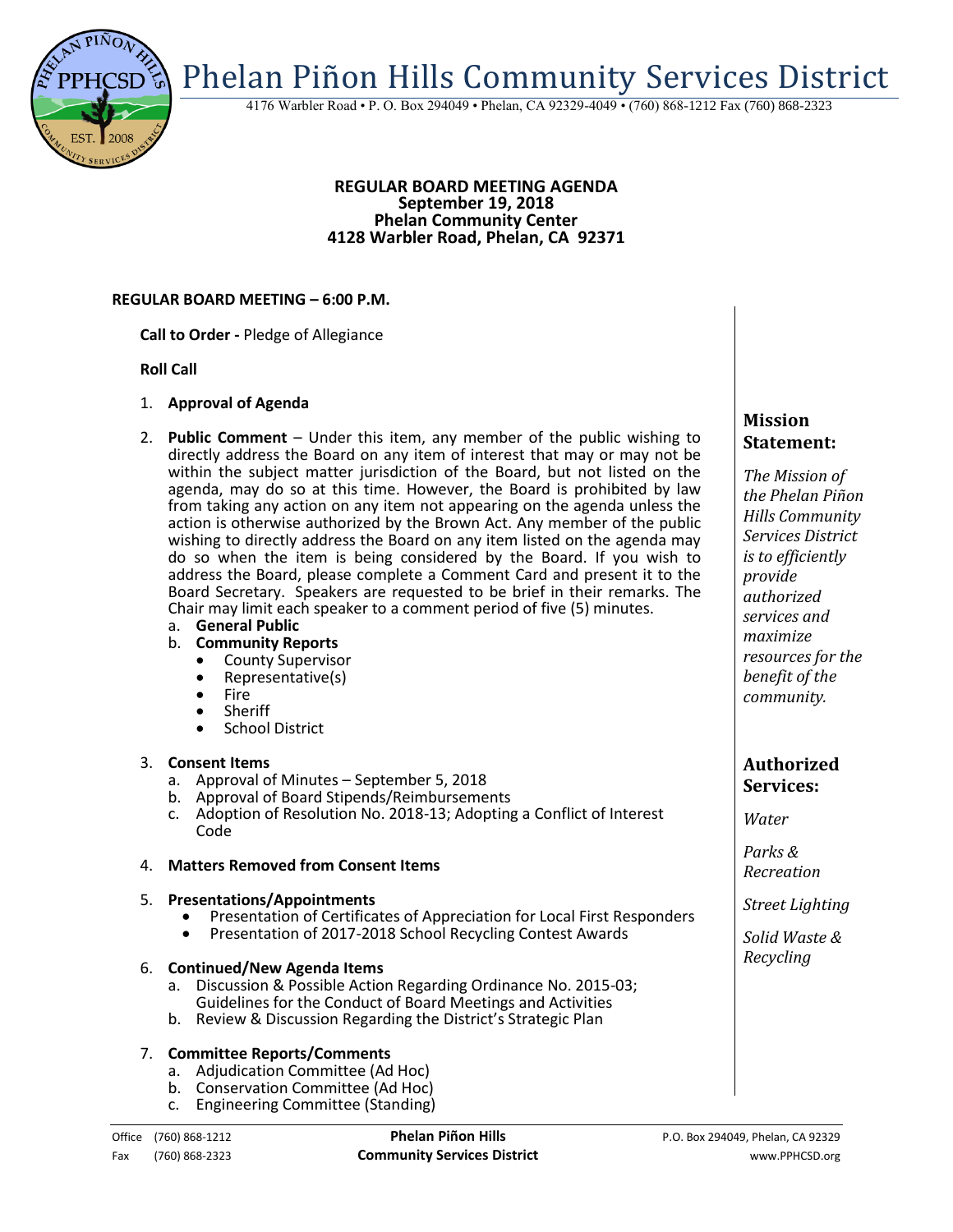

4176 Warbler Road • P. O. Box 294049 • Phelan, CA 92329-4049 • (760) 868-1212 Fax (760) 868-2323

### **REGULAR BOARD MEETING AGENDA September 19, 2018 Phelan Community Center 4128 Warbler Road, Phelan, CA 92371**

### **REGULAR BOARD MEETING – 6:00 P.M.**

**Call to Order -** Pledge of Allegiance

### **Roll Call**

- 1. **Approval of Agenda**
- 2. **Public Comment**  Under this item, any member of the public wishing to directly address the Board on any item of interest that may or may not be within the subject matter jurisdiction of the Board, but not listed on the agenda, may do so at this time. However, the Board is prohibited by law from taking any action on any item not appearing on the agenda unless the action is otherwise authorized by the Brown Act. Any member of the public wishing to directly address the Board on any item listed on the agenda may do so when the item is being considered by the Board. If you wish to address the Board, please complete a Comment Card and present it to the Board Secretary. Speakers are requested to be brief in their remarks. The Chair may limit each speaker to a comment period of five (5) minutes.
	- a. **General Public**
	- b. **Community Reports**
		- County Supervisor<br>• Representative(s)
		- Representative(s)
		- Fire<br>• Sher
		- Sheriff
		- School District

## 3. **Consent Items**

- a. Approval of Minutes September 5, 2018
- b. Approval of Board Stipends/Reimbursements
- c. Adoption of Resolution No. 2018-13; Adopting a Conflict of Interest Code

## 4. **Matters Removed from Consent Items**

### 5. **Presentations/Appointments**

- Presentation of Certificates of Appreciation for Local First Responders
- Presentation of 2017-2018 School Recycling Contest Awards

### 6. **Continued/New Agenda Items**

- a. Discussion & Possible Action Regarding Ordinance No. 2015-03; Guidelines for the Conduct of Board Meetings and Activities
- b. Review & Discussion Regarding the District's Strategic Plan

### 7. **Committee Reports/Comments**

- a. Adjudication Committee (Ad Hoc)
- b. Conservation Committee (Ad Hoc)
- c. Engineering Committee (Standing)

# **Mission Statement:**

*The Mission of the Phelan Piñon Hills Community Services District is to efficiently provide authorized services and maximize resources for the benefit of the community.*

# **Authorized Services:**

*Water*

*Parks & Recreation*

*Street Lighting*

*Solid Waste & Recycling*